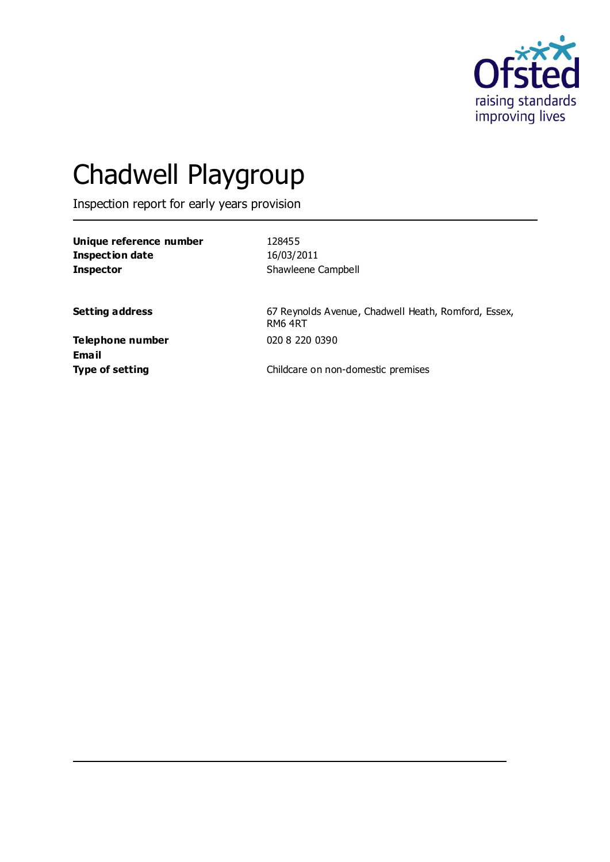

# Chadwell Playgroup

Inspection report for early years provision

**Unique reference number** 128455 **Inspection date** 16/03/2011 **Inspector** Shawleene Campbell

Setting address **Setting address** 67 Reynolds Avenue, Chadwell Heath, Romford, Essex, RM6 4RT

**Telephone number** 020 8 220 0390 **Email**

**Type of setting** Childcare on non-domestic premises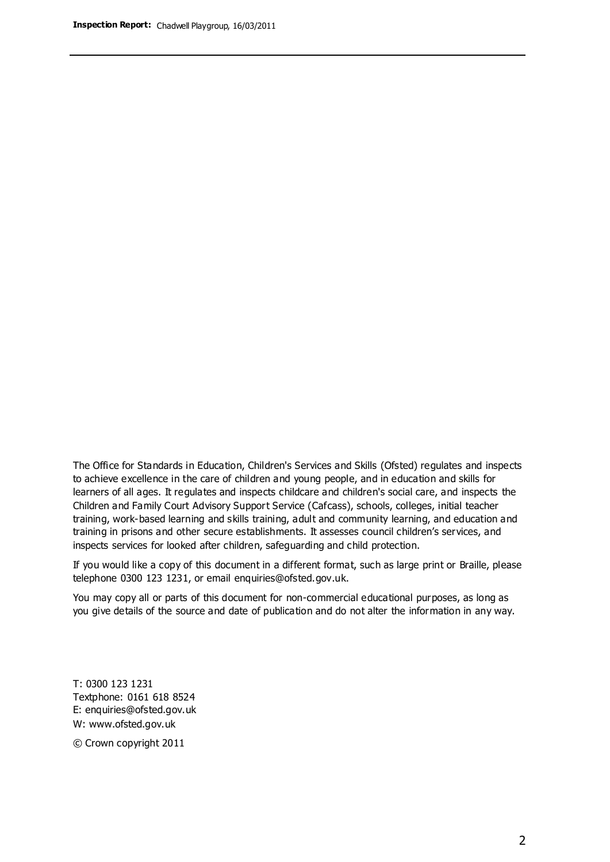The Office for Standards in Education, Children's Services and Skills (Ofsted) regulates and inspects to achieve excellence in the care of children and young people, and in education and skills for learners of all ages. It regulates and inspects childcare and children's social care, and inspects the Children and Family Court Advisory Support Service (Cafcass), schools, colleges, initial teacher training, work-based learning and skills training, adult and community learning, and education and training in prisons and other secure establishments. It assesses council children's services, and inspects services for looked after children, safeguarding and child protection.

If you would like a copy of this document in a different format, such as large print or Braille, please telephone 0300 123 1231, or email enquiries@ofsted.gov.uk.

You may copy all or parts of this document for non-commercial educational purposes, as long as you give details of the source and date of publication and do not alter the information in any way.

T: 0300 123 1231 Textphone: 0161 618 8524 E: enquiries@ofsted.gov.uk W: [www.ofsted.gov.uk](http://www.ofsted.gov.uk/)

© Crown copyright 2011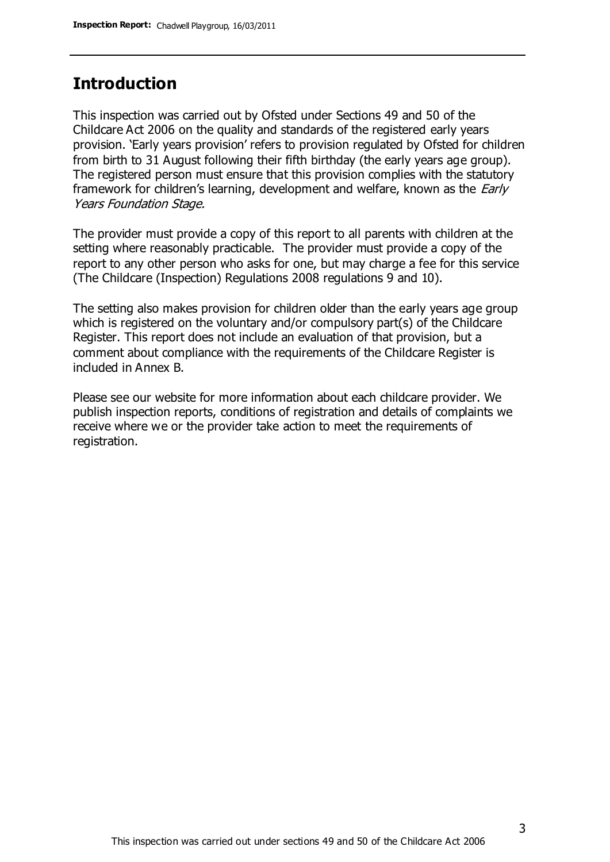## **Introduction**

This inspection was carried out by Ofsted under Sections 49 and 50 of the Childcare Act 2006 on the quality and standards of the registered early years provision. 'Early years provision' refers to provision regulated by Ofsted for children from birth to 31 August following their fifth birthday (the early years age group). The registered person must ensure that this provision complies with the statutory framework for children's learning, development and welfare, known as the *Early* Years Foundation Stage.

The provider must provide a copy of this report to all parents with children at the setting where reasonably practicable. The provider must provide a copy of the report to any other person who asks for one, but may charge a fee for this service (The Childcare (Inspection) Regulations 2008 regulations 9 and 10).

The setting also makes provision for children older than the early years age group which is registered on the voluntary and/or compulsory part(s) of the Childcare Register. This report does not include an evaluation of that provision, but a comment about compliance with the requirements of the Childcare Register is included in Annex B.

Please see our website for more information about each childcare provider. We publish inspection reports, conditions of registration and details of complaints we receive where we or the provider take action to meet the requirements of registration.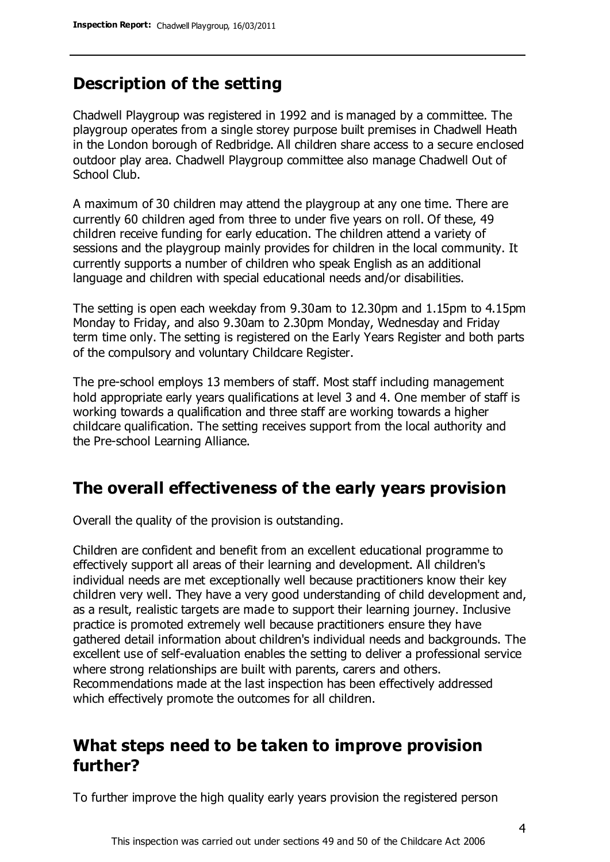# **Description of the setting**

Chadwell Playgroup was registered in 1992 and is managed by a committee. The playgroup operates from a single storey purpose built premises in Chadwell Heath in the London borough of Redbridge. All children share access to a secure enclosed outdoor play area. Chadwell Playgroup committee also manage Chadwell Out of School Club.

A maximum of 30 children may attend the playgroup at any one time. There are currently 60 children aged from three to under five years on roll. Of these, 49 children receive funding for early education. The children attend a variety of sessions and the playgroup mainly provides for children in the local community. It currently supports a number of children who speak English as an additional language and children with special educational needs and/or disabilities.

The setting is open each weekday from 9.30am to 12.30pm and 1.15pm to 4.15pm Monday to Friday, and also 9.30am to 2.30pm Monday, Wednesday and Friday term time only. The setting is registered on the Early Years Register and both parts of the compulsory and voluntary Childcare Register.

The pre-school employs 13 members of staff. Most staff including management hold appropriate early years qualifications at level 3 and 4. One member of staff is working towards a qualification and three staff are working towards a higher childcare qualification. The setting receives support from the local authority and the Pre-school Learning Alliance.

## **The overall effectiveness of the early years provision**

Overall the quality of the provision is outstanding.

Children are confident and benefit from an excellent educational programme to effectively support all areas of their learning and development. All children's individual needs are met exceptionally well because practitioners know their key children very well. They have a very good understanding of child development and, as a result, realistic targets are made to support their learning journey. Inclusive practice is promoted extremely well because practitioners ensure they have gathered detail information about children's individual needs and backgrounds. The excellent use of self-evaluation enables the setting to deliver a professional service where strong relationships are built with parents, carers and others. Recommendations made at the last inspection has been effectively addressed which effectively promote the outcomes for all children.

## **What steps need to be taken to improve provision further?**

To further improve the high quality early years provision the registered person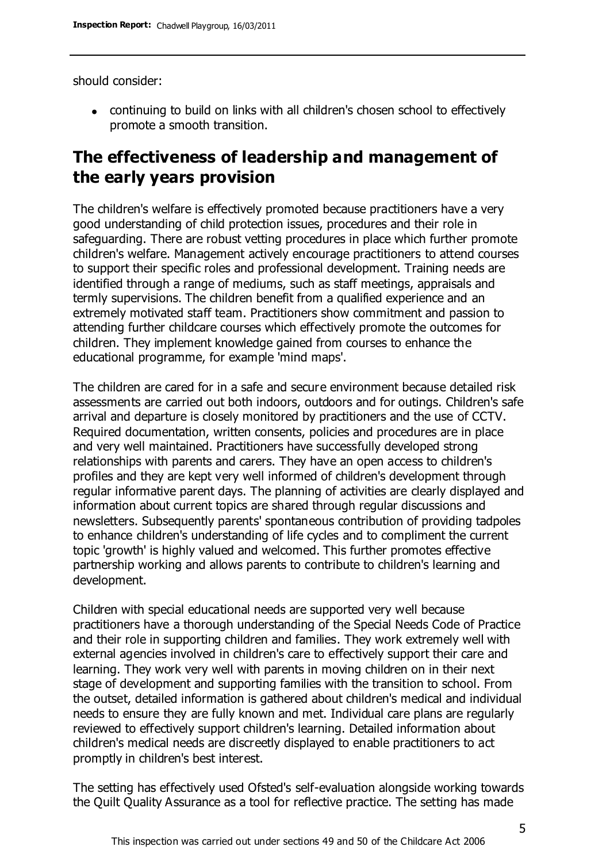should consider:

continuing to build on links with all children's chosen school to effectively promote a smooth transition.

# **The effectiveness of leadership and management of the early years provision**

The children's welfare is effectively promoted because practitioners have a very good understanding of child protection issues, procedures and their role in safeguarding. There are robust vetting procedures in place which further promote children's welfare. Management actively encourage practitioners to attend courses to support their specific roles and professional development. Training needs are identified through a range of mediums, such as staff meetings, appraisals and termly supervisions. The children benefit from a qualified experience and an extremely motivated staff team. Practitioners show commitment and passion to attending further childcare courses which effectively promote the outcomes for children. They implement knowledge gained from courses to enhance the educational programme, for example 'mind maps'.

The children are cared for in a safe and secure environment because detailed risk assessments are carried out both indoors, outdoors and for outings. Children's safe arrival and departure is closely monitored by practitioners and the use of CCTV. Required documentation, written consents, policies and procedures are in place and very well maintained. Practitioners have successfully developed strong relationships with parents and carers. They have an open access to children's profiles and they are kept very well informed of children's development through regular informative parent days. The planning of activities are clearly displayed and information about current topics are shared through regular discussions and newsletters. Subsequently parents' spontaneous contribution of providing tadpoles to enhance children's understanding of life cycles and to compliment the current topic 'growth' is highly valued and welcomed. This further promotes effective partnership working and allows parents to contribute to children's learning and development.

Children with special educational needs are supported very well because practitioners have a thorough understanding of the Special Needs Code of Practice and their role in supporting children and families. They work extremely well with external agencies involved in children's care to effectively support their care and learning. They work very well with parents in moving children on in their next stage of development and supporting families with the transition to school. From the outset, detailed information is gathered about children's medical and individual needs to ensure they are fully known and met. Individual care plans are regularly reviewed to effectively support children's learning. Detailed information about children's medical needs are discreetly displayed to enable practitioners to act promptly in children's best interest.

The setting has effectively used Ofsted's self-evaluation alongside working towards the Quilt Quality Assurance as a tool for reflective practice. The setting has made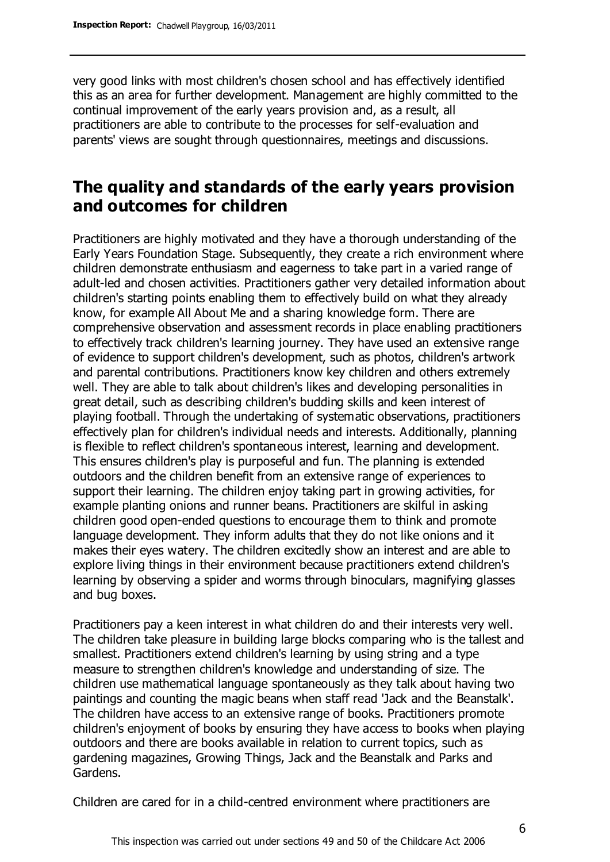very good links with most children's chosen school and has effectively identified this as an area for further development. Management are highly committed to the continual improvement of the early years provision and, as a result, all practitioners are able to contribute to the processes for self-evaluation and parents' views are sought through questionnaires, meetings and discussions.

## **The quality and standards of the early years provision and outcomes for children**

Practitioners are highly motivated and they have a thorough understanding of the Early Years Foundation Stage. Subsequently, they create a rich environment where children demonstrate enthusiasm and eagerness to take part in a varied range of adult-led and chosen activities. Practitioners gather very detailed information about children's starting points enabling them to effectively build on what they already know, for example All About Me and a sharing knowledge form. There are comprehensive observation and assessment records in place enabling practitioners to effectively track children's learning journey. They have used an extensive range of evidence to support children's development, such as photos, children's artwork and parental contributions. Practitioners know key children and others extremely well. They are able to talk about children's likes and developing personalities in great detail, such as describing children's budding skills and keen interest of playing football. Through the undertaking of systematic observations, practitioners effectively plan for children's individual needs and interests. Additionally, planning is flexible to reflect children's spontaneous interest, learning and development. This ensures children's play is purposeful and fun. The planning is extended outdoors and the children benefit from an extensive range of experiences to support their learning. The children enjoy taking part in growing activities, for example planting onions and runner beans. Practitioners are skilful in asking children good open-ended questions to encourage them to think and promote language development. They inform adults that they do not like onions and it makes their eyes watery. The children excitedly show an interest and are able to explore living things in their environment because practitioners extend children's learning by observing a spider and worms through binoculars, magnifying glasses and bug boxes.

Practitioners pay a keen interest in what children do and their interests very well. The children take pleasure in building large blocks comparing who is the tallest and smallest. Practitioners extend children's learning by using string and a type measure to strengthen children's knowledge and understanding of size. The children use mathematical language spontaneously as they talk about having two paintings and counting the magic beans when staff read 'Jack and the Beanstalk'. The children have access to an extensive range of books. Practitioners promote children's enjoyment of books by ensuring they have access to books when playing outdoors and there are books available in relation to current topics, such as gardening magazines, Growing Things, Jack and the Beanstalk and Parks and Gardens.

Children are cared for in a child-centred environment where practitioners are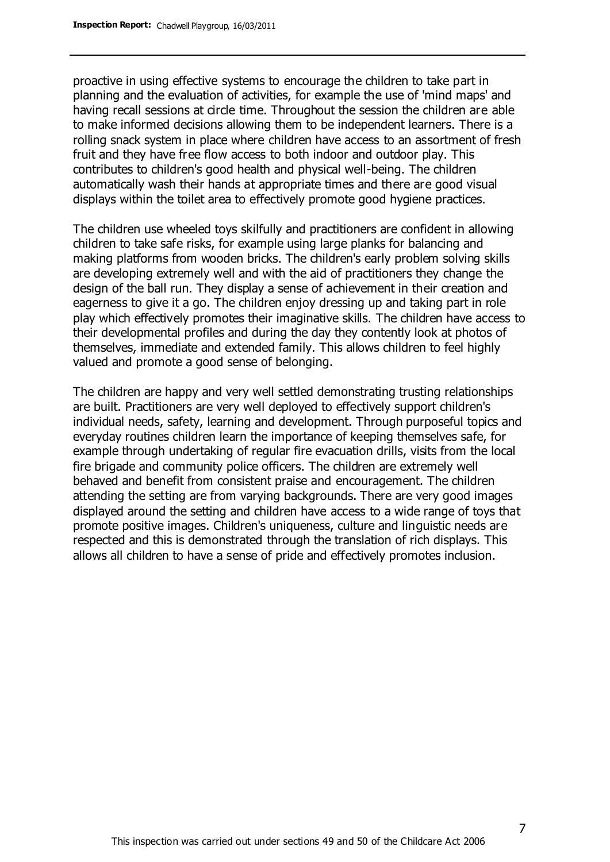proactive in using effective systems to encourage the children to take part in planning and the evaluation of activities, for example the use of 'mind maps' and having recall sessions at circle time. Throughout the session the children are able to make informed decisions allowing them to be independent learners. There is a rolling snack system in place where children have access to an assortment of fresh fruit and they have free flow access to both indoor and outdoor play. This contributes to children's good health and physical well-being. The children automatically wash their hands at appropriate times and there are good visual displays within the toilet area to effectively promote good hygiene practices.

The children use wheeled toys skilfully and practitioners are confident in allowing children to take safe risks, for example using large planks for balancing and making platforms from wooden bricks. The children's early problem solving skills are developing extremely well and with the aid of practitioners they change the design of the ball run. They display a sense of achievement in their creation and eagerness to give it a go. The children enjoy dressing up and taking part in role play which effectively promotes their imaginative skills. The children have access to their developmental profiles and during the day they contently look at photos of themselves, immediate and extended family. This allows children to feel highly valued and promote a good sense of belonging.

The children are happy and very well settled demonstrating trusting relationships are built. Practitioners are very well deployed to effectively support children's individual needs, safety, learning and development. Through purposeful topics and everyday routines children learn the importance of keeping themselves safe, for example through undertaking of regular fire evacuation drills, visits from the local fire brigade and community police officers. The children are extremely well behaved and benefit from consistent praise and encouragement. The children attending the setting are from varying backgrounds. There are very good images displayed around the setting and children have access to a wide range of toys that promote positive images. Children's uniqueness, culture and linguistic needs are respected and this is demonstrated through the translation of rich displays. This allows all children to have a sense of pride and effectively promotes inclusion.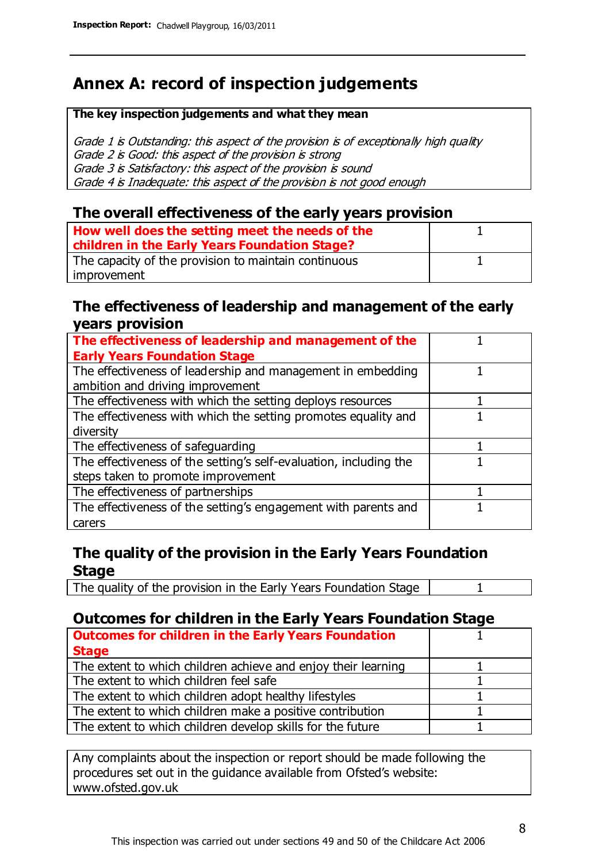# **Annex A: record of inspection judgements**

#### **The key inspection judgements and what they mean**

Grade 1 is Outstanding: this aspect of the provision is of exceptionally high quality Grade 2 is Good: this aspect of the provision is strong Grade 3 is Satisfactory: this aspect of the provision is sound Grade 4 is Inadequate: this aspect of the provision is not good enough

### **The overall effectiveness of the early years provision**

| How well does the setting meet the needs of the      |  |
|------------------------------------------------------|--|
| children in the Early Years Foundation Stage?        |  |
| The capacity of the provision to maintain continuous |  |
| improvement                                          |  |

#### **The effectiveness of leadership and management of the early years provision**

| The effectiveness of leadership and management of the             |  |
|-------------------------------------------------------------------|--|
| <b>Early Years Foundation Stage</b>                               |  |
| The effectiveness of leadership and management in embedding       |  |
| ambition and driving improvement                                  |  |
| The effectiveness with which the setting deploys resources        |  |
| The effectiveness with which the setting promotes equality and    |  |
| diversity                                                         |  |
| The effectiveness of safeguarding                                 |  |
| The effectiveness of the setting's self-evaluation, including the |  |
| steps taken to promote improvement                                |  |
| The effectiveness of partnerships                                 |  |
| The effectiveness of the setting's engagement with parents and    |  |
| carers                                                            |  |

## **The quality of the provision in the Early Years Foundation Stage**

The quality of the provision in the Early Years Foundation Stage | 1

#### **Outcomes for children in the Early Years Foundation Stage**

| <b>Outcomes for children in the Early Years Foundation</b>    |  |
|---------------------------------------------------------------|--|
| <b>Stage</b>                                                  |  |
| The extent to which children achieve and enjoy their learning |  |
| The extent to which children feel safe                        |  |
| The extent to which children adopt healthy lifestyles         |  |
| The extent to which children make a positive contribution     |  |
| The extent to which children develop skills for the future    |  |

Any complaints about the inspection or report should be made following the procedures set out in the guidance available from Ofsted's website: www.ofsted.gov.uk